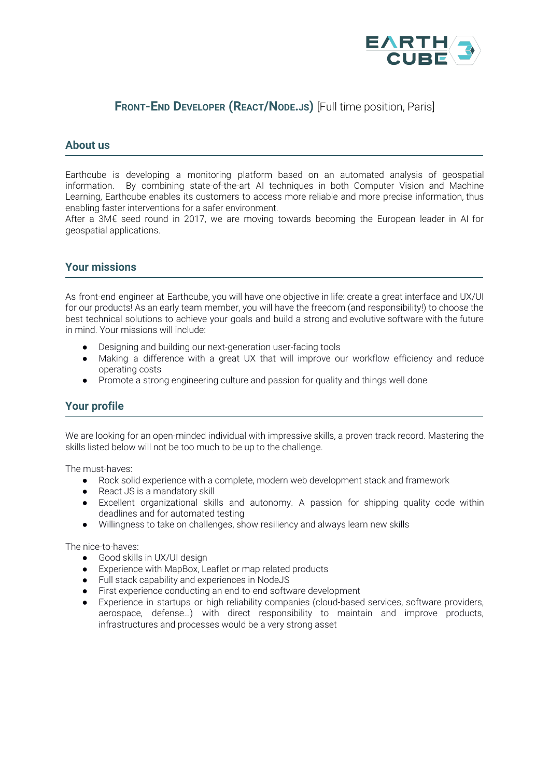

# **FRONT-END DEVELOPER (REACT/NODE.JS)** [Full time position, Paris]

#### **About us**

Earthcube is developing a monitoring platform based on an automated analysis of geospatial information. By combining state-of-the-art AI techniques in both Computer Vision and Machine Learning, Earthcube enables its customers to access more reliable and more precise information, thus enabling faster interventions for a safer environment.

After a 3M€ seed round in 2017, we are moving towards becoming the European leader in AI for geospatial applications.

#### **Your missions**

As front-end engineer at Earthcube, you will have one objective in life: create a great interface and UX/UI for our products! As an early team member, you will have the freedom (and responsibility!) to choose the best technical solutions to achieve your goals and build a strong and evolutive software with the future in mind. Your missions will include:

- Designing and building our next-generation user-facing tools
- Making a difference with a great UX that will improve our workflow efficiency and reduce operating costs
- Promote a strong engineering culture and passion for quality and things well done

### **Your profile**

We are looking for an open-minded individual with impressive skills, a proven track record. Mastering the skills listed below will not be too much to be up to the challenge.

The must-haves:

- Rock solid experience with a complete, modern web development stack and framework
- React JS is a mandatory skill
- Excellent organizational skills and autonomy. A passion for shipping quality code within deadlines and for automated testing
- Willingness to take on challenges, show resiliency and always learn new skills

The nice-to-haves:

- Good skills in UX/UI design
- Experience with MapBox, Leaflet or map related products
- Full stack capability and experiences in NodeJS
- First experience conducting an end-to-end software development
- Experience in startups or high reliability companies (cloud-based services, software providers, aerospace, defense…) with direct responsibility to maintain and improve products, infrastructures and processes would be a very strong asset